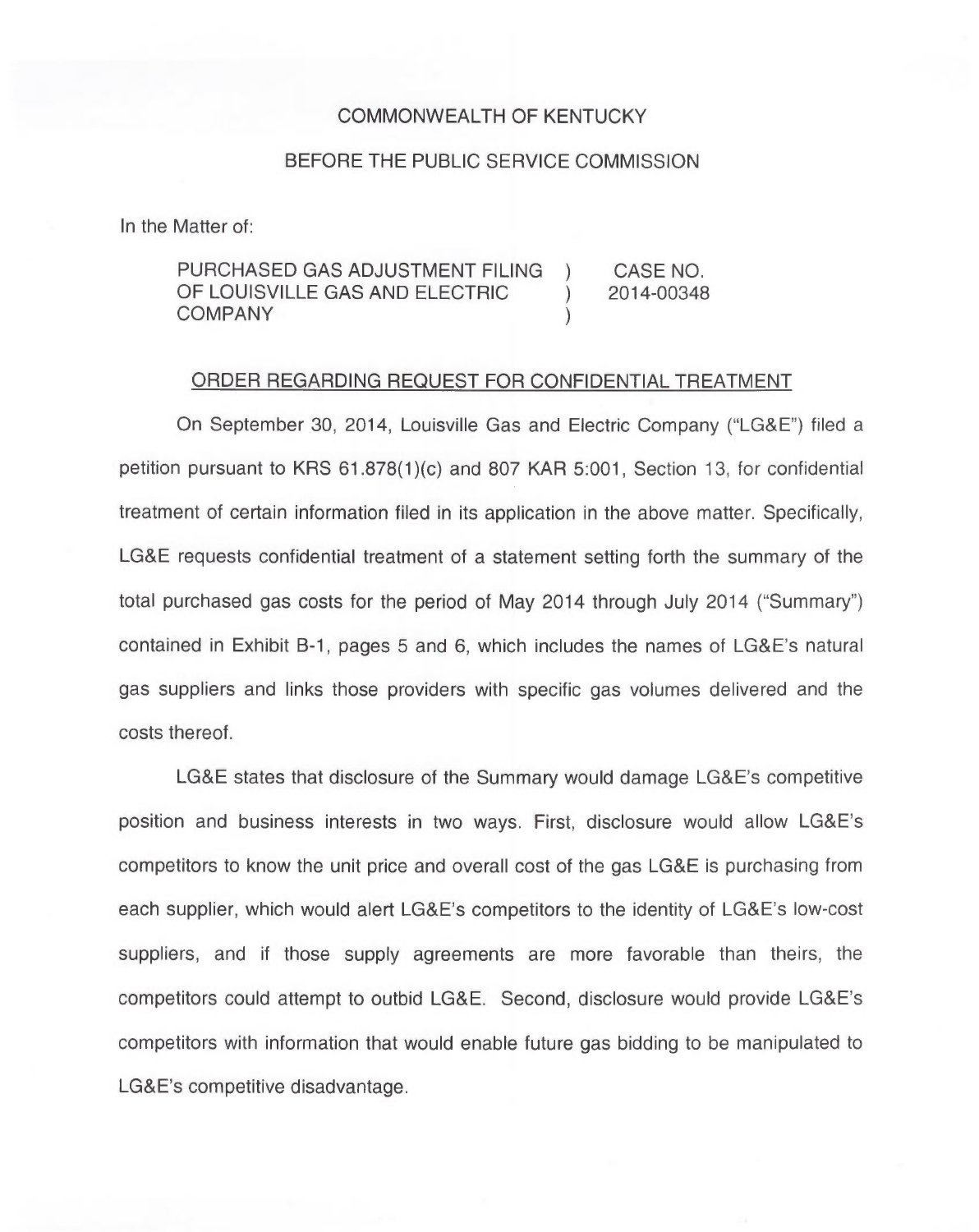## COMMONWEALTH OF KENTUCKY

## BEFORE THE PUBLIC SERVICE COMMISSION

In the Matter of:

| PURCHASED GAS ADJUSTMENT FILING | CASE NO.   |
|---------------------------------|------------|
| OF LOUISVILLE GAS AND ELECTRIC  | 2014-00348 |
| <b>COMPANY</b>                  |            |

## ORDER REGARDING REQUEST FOR CONFIDENTIAL TREATMENT

On September 30, 2014, Louisville Gas and Electric Company ("LG&E") filed a petition pursuant to KRS  $61.878(1)(c)$  and  $807$  KAR  $5:001$ , Section 13, for confidential treatment of certain information filed in its application in the above matter. Specifically, LG&E requests confidential treatment of a statement setting forth the summary of the total purchased gas costs for the period of May 2014 through July 2014 ("Summary") contained in Exhibit B-1, pages 5 and 6, which includes the names of LG&E's natural gas suppliers and links those providers with specific gas volumes delivered and the costs thereof.

LG&E states that disclosure of the Summary would damage LG&E's competitive position and business interests in two ways. First, disclosure would allow LG&E's competitors to know the unit price and overall cost of the gas LG&E is purchasing from each supplier, which would alert LG&E's competitors to the identity of LG&E's low-cost suppliers, and if those supply agreements are more favorable than theirs, the competitors could attempt to outbid LG&E. Second, disclosure would provide LG&E's competitors with information that would enable future gas bidding to be manipulated to LG&E's competitive disadvantage.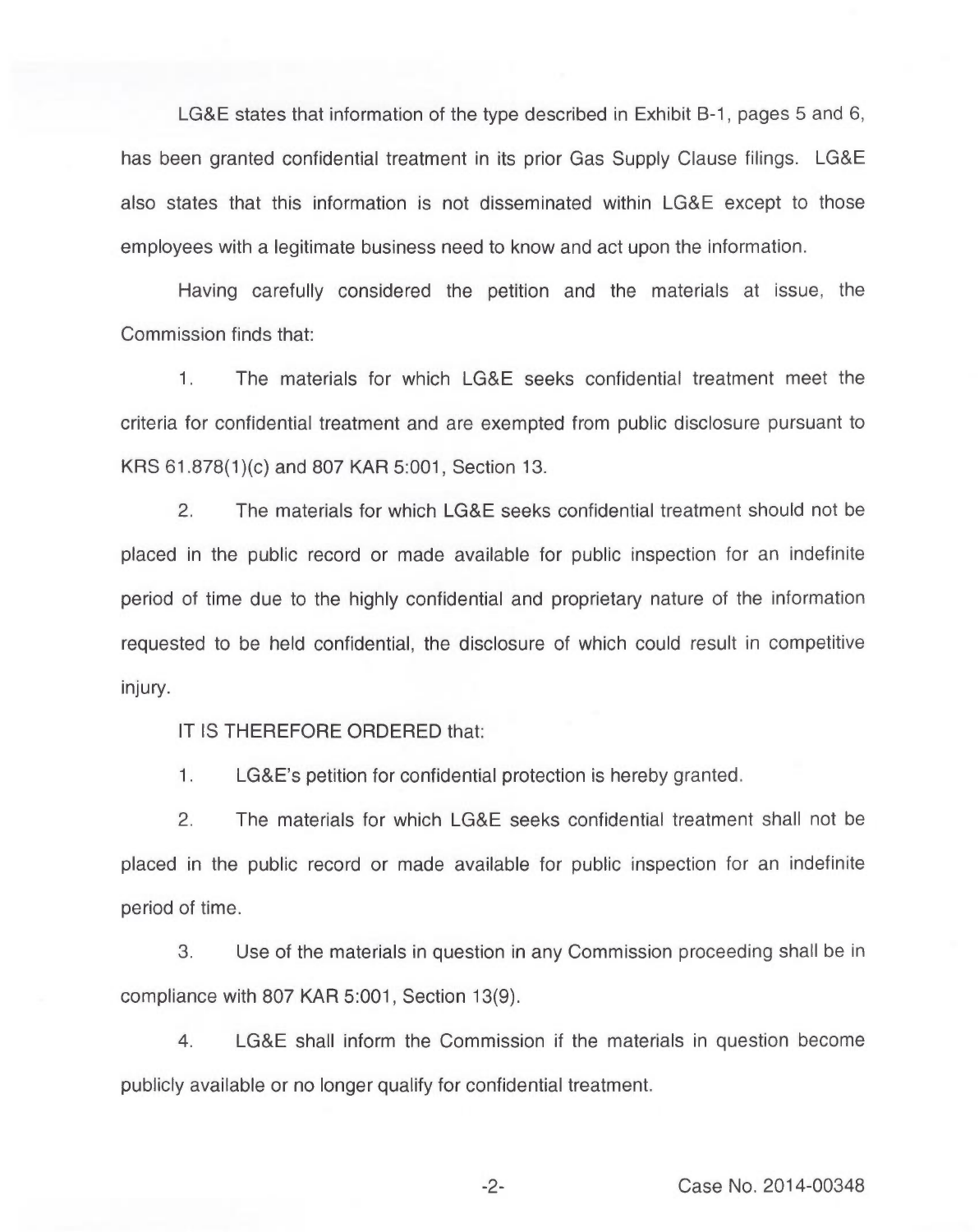LG&E states that information of the type described in Exhibit B-1, pages 5 and 6, has been granted confidential treatment in its prior Gas Supply Clause filings. LG&E also states that this information is not disseminated within LG&E except to those employees with a legitimate business need to know and act upon the information.

Having carefully considered the petition and the materials at issue, the Commission finds that:

 $1.$ The materials for which LG&E seeks confidential treatment meet the criteria for confidential treatment and are exempted from public disclosure pursuant to KRS 61.878(1)(c)and 807 KAR 5:001, Section 13.

2. The materials for which LG&E seeks confidential treatment should not be placed in the public record or made available for public inspection for an indefinite period of time due to the highly confidential and proprietary nature of the information requested to be held confidential, the disclosure of which could result in competitive injury.

IT IS THEREFORE ORDERED that:

1. LG8 E's petition for confidential protection is hereby granted.

2. The materials for which LGBE seeks confidential treatment shall not be placed in the public record or made available for public inspection for an indefinite period of time.

3. Use of the materials in question in any Commission proceeding shall be in compliance with 807 KAR 5:001, Section 13(9).

4. LG&E shall inform the Commission if the materials in question become publicly available or no longer qualify for confidential treatment.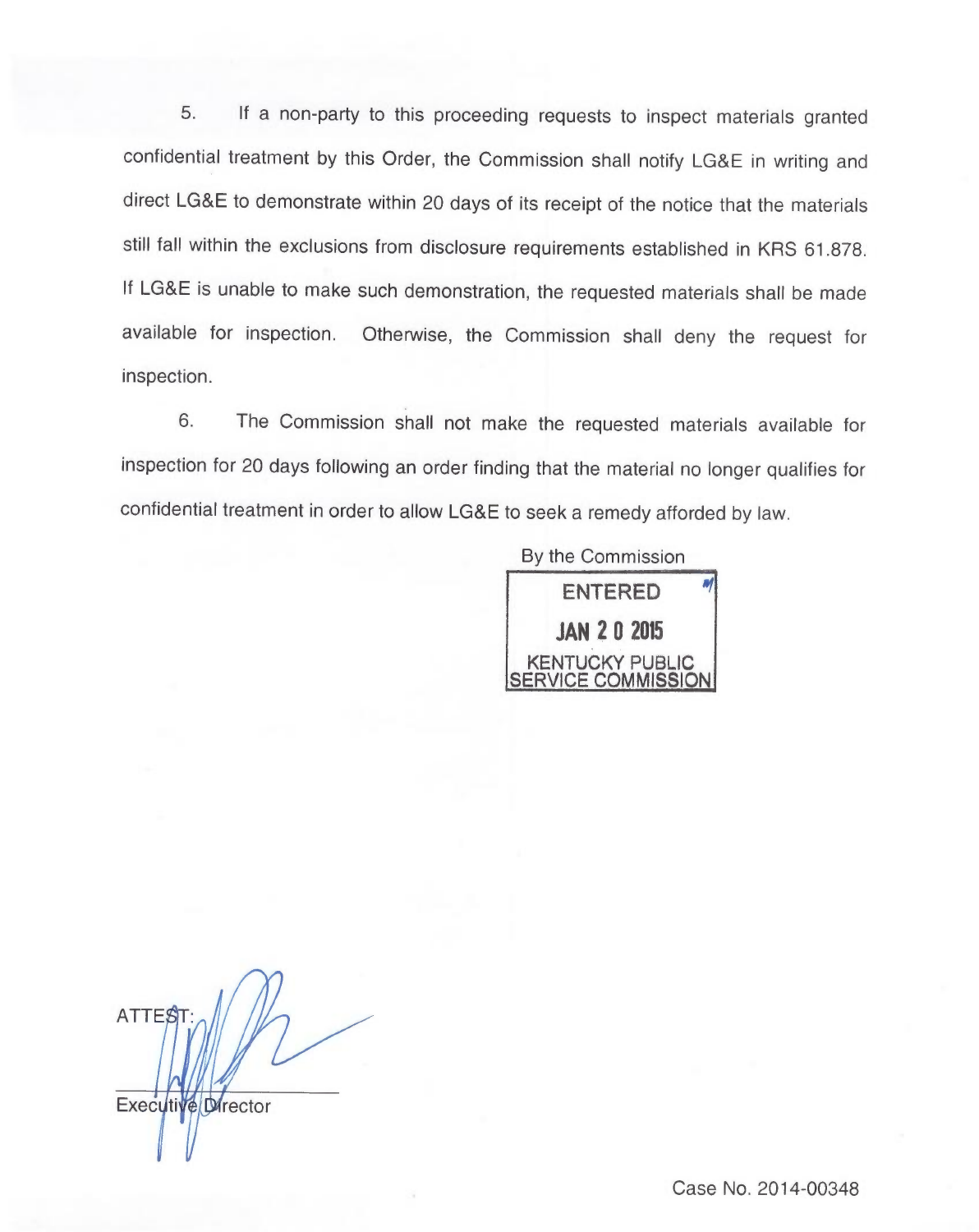5. If a non-party to this proceeding requests to inspect materials granted confidential treatment by this Order, the Commission shall notify LG&E in writing and direct LG&E to demonstrate within 20 days of its receipt of the notice that the materials still fall within the exclusions from disclosure requirements established in KRS 61.878. If LG&E is unable to make such demonstration, the requested materials shall be made available for inspection. Otherwise, the Commission shall deny the request for inspection.

6. The Commission shall not make the requested materials available for inspection for 20 days following an order finding that the material no longer qualifies for confidential treatment in order to allow LG&E to seek a remedy afforded by law.

> By the Commission ENTERED JAN 20 205 KENTUCKY PUBLIC COMMISSION

ATTES Executive Director

Case No. 2014-00348